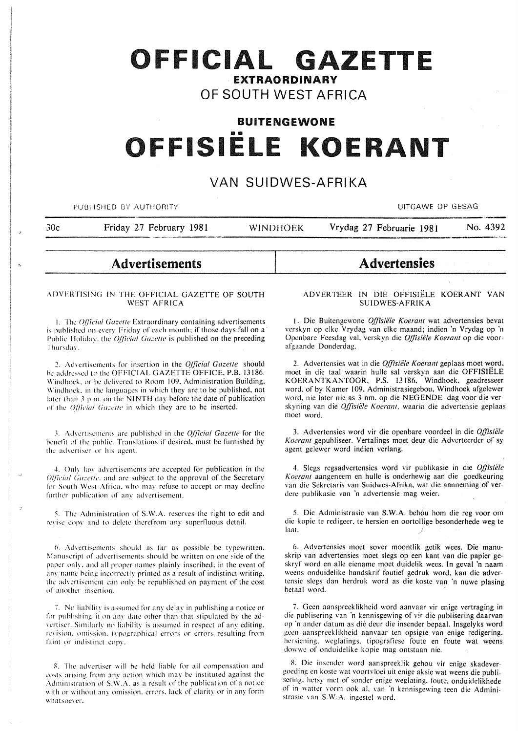# OFFICIAL GAZETTE **EXTRAORDINARY**

# OF SOUTH WEST AFRICA

# **BUITENGEWONE** OFFISIELE KOERANT

## VAN SUIDWES-AFRIKA

PUBLISHED BY AUTHORITY

**UITGAWE OP GESAG** 

 $30<sub>c</sub>$ 

Friday 27 February 1981 **WINDHOEK** 

## No. 4392

**Advertisements** 

## ADVERTISING IN THE OFFICIAL GAZETTE OF SOUTH **WEST AFRICA**

1. The Official Gazette Extraordinary containing advertisements is published on every Friday of each month; if those days fall on a Public Holiday, the Official Gazette is published on the preceding Thursday.

2. Advertisements for insertion in the Official Gazette should be addressed to the OFFICIAL GAZETTE OFFICE, P.B. 13186. Windhoek, or be delivered to Room 109, Administration Building, Windhoek, in the languages in which they are to be published, not later than 3 p.m. on the NINTH day before the date of publication of the Official Gazette in which they are to be inserted.

3. Advertisements are published in the *Official Gazette* for the benefit of the public. Translations if desired, must be furnished by the advertiser or his agent.

4. Only law advertisements are accepted for publication in the Official Gazette, and are subject to the approval of the Secretary for South West Africa, who may refuse to accept or may decline further publication of any advertisement.

5. The Administration of S.W.A. reserves the right to edit and revise copy and to delete therefrom any superfluous detail.

6. Advertisements should as far as possible be typewritten. Manuscript of advertisements should be written on one side of the paper only, and all proper names plainly inscribed; in the event of any name being incorrectly printed as a result of indistinct writing, the advertisement can only be republished on payment of the cost of another insertion.

7. No liability is assumed for any delay in publishing a notice or for publishing it on any date other than that stipulated by the advertiser. Similarly no liability is assumed in respect of any editing, revision, omission, typographical errors or errors resulting from faint or indistinct copy.

8. The advertiser will be held liable for all compensation and costs arising from any action which may be instituted against the Administration of S.W.A. as a result of the publication of a notice with or without any omission, errors, lack of clarity or in any form whatsoever.

# **Advertensies**

Vrydag 27 Februarie 1981

## ADVERTEER IN DIE OFFISIËLE KOERANT VAN **SUIDWES-AFRIKA**

1. Die Buitengewone Offisiële Koerant wat advertensies bevat verskyn op elke Vrydag van elke maand; indien 'n Vrydag op 'n Openbare Feesdag val, verskyn die Offisiële Koerant op die voorafgaande Donderdag.

2. Advertensies wat in die Offisiële Koerant geplaas moet word, moet in die taal waarin hulle sal verskyn aan die OFFISIËLE KOERANTKANTOOR, P.S. 13186, Windhoek, geadresseer word, of by Kamer 109, Administrasiegebou, Windhoek afgelewer word, nie later nie as 3 nm. op die NEGENDE dag voor die verskyning van die Offisiële Koerant, waarin die advertensie geplaas moet word.

3. Advertensies word vir die openbare voordeel in die Offisiële Koerant gepubliseer. Vertalings moet deur die Adverteerder of sy agent gelewer word indien verlang.

4. Slegs regsadvertensies word vir publikasie in die Offisiële Koerant aangeneem en hulle is onderhewig aan die goedkeuring van die Sekretaris van Suidwes-Afrika, wat die aanneming of verdere publikasie van 'n advertensie mag weier.

5. Die Administrasie van S.W.A. behou hom die reg voor om die kopie te redigeer, te hersien en oortollige besonderhede weg te laat.

6. Advertensies moet sover moontlik getik wees. Die manuskrip van advertensies moet slegs op een kant van die papier geskryf word en alle eiename moet duidelik wees. In geval 'n naam weens onduidelike handskrif foutief gedruk word, kan die advertensie slegs dan herdruk word as die koste van 'n nuwe plasing betaal word.

7. Geen aanspreeklikheid word aanvaar vir enige vertraging in die publisering van 'n kennisgewing of vir die publisering daarvan op 'n ander datum as die deur die insender bepaal. Insgelyks word geen aanspreeklikheid aanvaar ten opsigte van enige redigering. hersiening, weglatings, tipografiese foute en foute wat weens dowwe of onduidelike kopie mag ontstaan nie.

8. Die insender word aanspreeklik gehou vir enige skadevergoeding en koste wat voortvloei uit enige aksie wat weens die publisering, hetsy met of sonder enige weglating, foute, onduidelikhede of in watter vorm ook al. van 'n kennisgewing teen die Administrasie van S.W.A. ingestel word.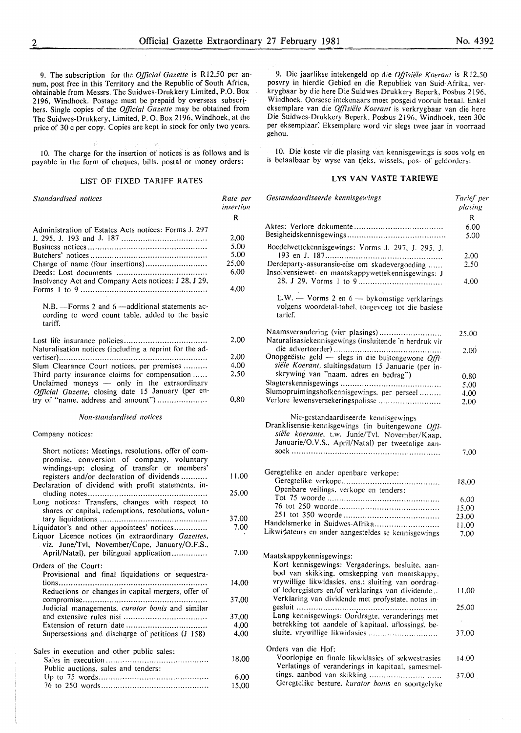9. The subscription for the *Official Gazette* is R 12,50 per annum, post free in this Territory and the Republic of South Africa, obtainable from Messrs. The Suidwes-Drukkery Limited, P.O. Box 2196, Windhoek. Postage must be prepaid by overseas subscribers. Single copies of the *Official Gazette* may be obtained from The Suidwes-Drukkery, Limited, P. 0. Box 2196, Windhoek, at the price of 30 c per copy. Copies are kept in stock for only two years.

!0. The charge for the insertion or notices is as follows and is payable in the form of cheques, bills, postal or money orders:

## LIST OF FIXED TARIFF RATES

| Standardised notices                                                                                                                             | Rate per<br>insertion |
|--------------------------------------------------------------------------------------------------------------------------------------------------|-----------------------|
|                                                                                                                                                  | R                     |
| Administration of Estates Acts notices: Forms J. 297                                                                                             |                       |
|                                                                                                                                                  | 2,00                  |
|                                                                                                                                                  | 5,00                  |
|                                                                                                                                                  | 5,00                  |
| Change of name (four insertions)                                                                                                                 | 25,00                 |
|                                                                                                                                                  | 6,00                  |
| Insolvency Act and Company Acts notices: J 28, J 29,                                                                                             | 4,00                  |
| $N.B.$ -Forms 2 and 6 -additional statements ac-<br>cording to word count table, added to the basic<br>tariff.                                   |                       |
| Naturalisation notices (including a reprint for the ad-                                                                                          | 2.00                  |
|                                                                                                                                                  | 2.00                  |
| Slum Clearance Court notices, per premises                                                                                                       | 4,00                  |
| Third party insurance claims for compensation                                                                                                    | 2,50                  |
| Unclaimed moneys - only in the extraordinary<br>Official Gazette, closing date 15 January (per en-                                               |                       |
| try of "name, address and amount")                                                                                                               | 0.80                  |
| Non-standardised notices                                                                                                                         |                       |
| Company notices:                                                                                                                                 |                       |
| Short notices: Meetings, resolutions, offer of com-<br>promise, conversion of company, voluntary<br>windings-up; closing of transfer or members' |                       |
| registers and/or declaration of dividends<br>Declaration of dividend with profit statements, in-                                                 | 11.00                 |
| Long notices: Transfers, changes with respect to                                                                                                 | 25,00                 |
| shares or capital, redemptions, resolutions, volun-                                                                                              | 37,00                 |
| Liquidator's and other appointees' notices<br>Liquor Licence notices (in extraordinary Gazettes,                                                 | 7.00                  |
| viz. June/Tvl, November/Cape, January/O.F.S.,<br>April/Natal), per bilingual application                                                         | 7.00                  |
| Orders of the Court:                                                                                                                             |                       |
| Provisional and final liquidations or sequestra-                                                                                                 |                       |
|                                                                                                                                                  | 14,00                 |
| Reductions or changes in capital mergers, offer of                                                                                               | 37,00                 |
| Judicial managements, curator bonis and similar                                                                                                  |                       |
|                                                                                                                                                  | 37,00                 |
|                                                                                                                                                  | 4,00                  |
| Supersessions and discharge of petitions (J 158)                                                                                                 | 4,00                  |
| Sales in execution and other public sales:                                                                                                       |                       |
| Public auctions, sales and tenders:                                                                                                              | 18,00                 |
|                                                                                                                                                  | 6,00                  |
|                                                                                                                                                  | 15,00                 |

9. Die jaarlikse intekengeld op die *Offisiele K oerant* is R 12.50 posvry in hierdie Gebied en die Republiek van Suid-Afrika, verkrygbaar by die here Die Suidwes-Drukkery Beperk, Posbus 2196. Windhoek. Oorsese intekenaars moet posgeld vooruit betaal. Enkel eksemplare van die *Offisiele Koerant* is verkrygbaar van die here Die Suidwes-Drukkery Beperk, Posbus 2 I 96. Windhoek, teen 30c per eksemplaar. Eksemplare word vir slegs twee jaar in voorraad gehou.

!0. Die koste vir die plasing van kennisgewings is soos volg en is betaalbaar by wyse van tjeks. wissels. pos- of geldorders:

## LYS VAN VASTE TARIEWE

| Gestandaardiseerde kennisgewings                                                                                                                                                                  | Tarief per<br>plasing |
|---------------------------------------------------------------------------------------------------------------------------------------------------------------------------------------------------|-----------------------|
|                                                                                                                                                                                                   | R                     |
|                                                                                                                                                                                                   | 6.00                  |
|                                                                                                                                                                                                   | 5.00                  |
| Boedelwettekennisgewings: Vorms J. 297, J. 295, J.                                                                                                                                                | 2.00                  |
| Derdeparty-assuransie-eise om skadevergoeding                                                                                                                                                     | 2.50                  |
| Insolvensiewet- en maatskappywettekennisgewings: J                                                                                                                                                |                       |
|                                                                                                                                                                                                   | 4.00                  |
| L.W. - Vorms 2 en 6 - bykomstige verklarings<br>volgens woordetal-tabel, toegevoeg tot die basiese<br>tarief.                                                                                     |                       |
| Naamsverandering (vier plasings)                                                                                                                                                                  | 25.00                 |
| Naturalisasiekennisgewings (insluitende 'n herdruk vir                                                                                                                                            |                       |
|                                                                                                                                                                                                   | 2.00                  |
| Onopgeëiste geld - slegs in die buitengewone $Offi$ -                                                                                                                                             |                       |
| siële Koerant, sluitingsdatum 15 Januarie (per in-                                                                                                                                                |                       |
| skrywing van "naam, adres en bedrag")                                                                                                                                                             | 0.80                  |
|                                                                                                                                                                                                   | 5.00                  |
| Slumopruimingshofkennisgewings, per perseel                                                                                                                                                       | 4.00                  |
| Verlore lewensversekeringspolisse                                                                                                                                                                 | 2.00                  |
| Nie-gestandaardiseerde kennisgewings<br>Dranklisensie-kennisgewings (in buitengewone Offi-<br>siële koerante. t.w. Junie/Tvl. November/Kaap.<br>Januarie/O.V.S., April/Natal) per tweetalige aan- |                       |
|                                                                                                                                                                                                   | 7.00                  |
| Geregtelike en ander openbare verkope:                                                                                                                                                            |                       |
|                                                                                                                                                                                                   | 18.00                 |
| Openbare veilings, verkope en tenders:                                                                                                                                                            |                       |
|                                                                                                                                                                                                   | 6,00                  |
|                                                                                                                                                                                                   | 15,00                 |
|                                                                                                                                                                                                   | 23,00                 |
| Handelsmerke in Suidwes-Afrika                                                                                                                                                                    | 11,00                 |
| Likwidateurs en ander aangesteldes se kennisgewings                                                                                                                                               | 7.00                  |
| Maatskappykennisgewings:<br>Kort kennisgewings: Vergaderings, besluite, aan-<br>bod van skikking, omskepping van maatskappy.                                                                      |                       |
| vrywillige likwidasies, ens.: sluiting van oordrag-                                                                                                                                               |                       |
| of lederegisters en/of verklarings van dividende<br>Verklaring van dividende met profystate, notas in-                                                                                            | 11,00                 |
|                                                                                                                                                                                                   | 25,00                 |
| Lang kennisgewings: Oordragte, veranderings met                                                                                                                                                   |                       |
| betrekking tot aandele of kapitaal, aflossings, be-<br>sluite, vrywillige likwidasies                                                                                                             | 37.00                 |
|                                                                                                                                                                                                   |                       |
| Orders van die Hof:                                                                                                                                                                               |                       |
| Voorlopige en finale likwidasies of sekwestrasies                                                                                                                                                 | 14.00                 |
| Verlatings of veranderings in kapitaal, samesmel-                                                                                                                                                 |                       |
| tings, aanbod van skikking                                                                                                                                                                        | 37,00                 |
| Geregtelike besture. kurator bonis en soortgelyke                                                                                                                                                 |                       |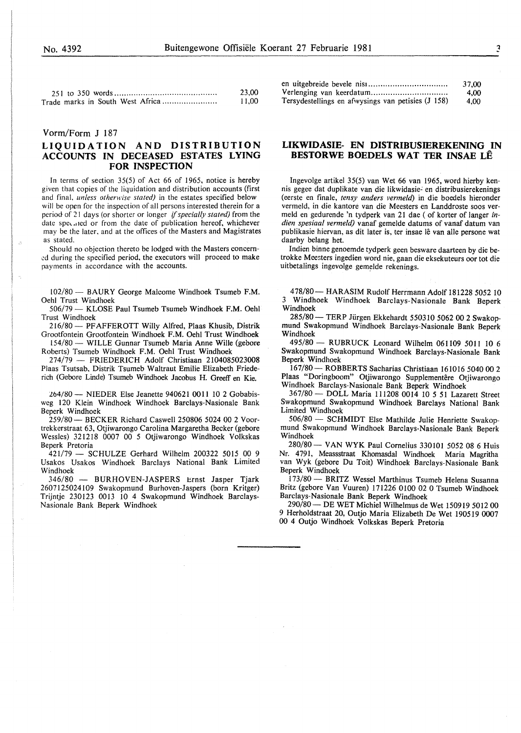|                                  | 23.00  |
|----------------------------------|--------|
| Trade marks in South West Africa | -11.00 |

## Vorm/Form **J** 187

## **LIQUIDATION AND DISTRIBUTION ACCOUNTS IN DECEASED ESTATES LYING FOR INSPECTION**

In terms of section 35(5) of Act 66 of 1965, notice is hereby given that copies of the liquidation and distribution accounts (first and final. *unless otherwise stated)* in the estates specified below will be open for the inspection of all persons interested therein for a period of 2 I days (or shorter or longer *if specially stated)* from the date specaled or from the date of publication hereof, whichever may be the later. and at the offices of the Masters and Magistrates as stated.

Should no objection thereto be lodged with the Masters concern ed during the specified period, the executors will proceed to make payments in accordance with the accounts.

102/80- BAURY George Malcome Windhoek Tsumeb F.M. Oehl Trust Windhoek

506/79 - KLOSE Paul Tsumeb Tsumeb Windhoek F.M. Oehl Trust Windhoek

216/80 - PF AFFEROTT Willy Alfred, Plaas Khusib, Distrik Grootfontein Grootfontein Windhoek F.M. Oehl Trust Windhoek

154/80 - WILLE Gunnar Tsumeb Maria Anne Wille (gebore Roberts) Tsumeb Windhoek F.M. Oehl Trust Windhoek

274/79 - FRIEDERICH Adolf Christiaan 2104085023008 Plaas Tsutsab. Distrik Tsumeb Waltraut Emilie Elizabeth Friederich (Gebore Linde) Tsumeb Windhoek Jacobus H. Greeff en Kie.

264/80 - NIEDER Else Jeanette 940621 0011 10 2 Gobabisweg 120 Klein Windhoek Windhoek Barclays-Nasionale Bank Beperk Windhoek

259/80- BECKER Richard Caswell 250806 5024 00 2 Voortrekkerstraat 63, Otjiwarongo Carolina Margaretha Becker (gebore Wessles) 321218 0007 00 5 Otjiwarongo Windhoek Volkskas Beperk Pretoria

421/79 - SCHULZE Gerhard Wilhelm 200322 5015 00 9 Usakos Usakos Windhoek Barclays National Bank Limited Windhoek

346/80 - BURHOVEN-JASPERS Ernst Jasper Tjark 2607125024109 Swakopmund Burhoven-Jaspers (born Kritger) Trijntje 230123 0013 10 4 Swakopmund Windhoek Barclays-Nasionale Bank Beperk Windhoek

|                                                    | 37.00 |
|----------------------------------------------------|-------|
|                                                    | 4.00  |
| Tersydestellings en afwysings van petisies (J 158) | 4.00  |

## **LIKWIDASIE- EN DISTRIBUSIEREKENING IN BESTORWE BOEDELS WAT TER INSAE LE**

Ingevolge artikel 35(5) van Wet 66 van 1965, word hierby kennis gegee dat duplikate van die likwidasie~ en distribusierekenings (eerste en finale, *tensy anders vermeld)* in die boedels hieronder vermeld, in die kantore van die Meesters en Landdroste soos vermeld en gedurende 'n tydperk van 21 dae ( of korter of Ianger *indien spesiaal vermeld)* vanaf gemelde datums of vanaf datum van publikasie hiervan, as dit later is, ter insae lê van alle persone wat daarby belang het.

Indien binne genoemde tydperk geen besware daarteen by die betrokke Meesters ingedien word nie, gaan die eksekuteurs oor tot die uitbetalings ingevolge gemelde rekenings.

478/80- HARASIM Rudolf Herrmann Adolf 181228 5052 10 3 Windhoek Windhoek Barclays-Nasionale Bank Beperk Windhoek

285/80 - TERP Jürgen Ekkehardt 550310 5062 00 2 Swakopmund Swakopmund Windhoek Barclays-Nasionale Bank Beperk Windhoek

495/80- RUBRUCK Leonard Wilhelm 061109 50ll 10 6 Swakopmund Swakopmund Windhoek Barclays-Nasionale Bank Beperk Windhoek

167/80- ROBBERTS Sacharias Christiaan 161016 5040 00 2 Plaas "Doringboom" Otjiwarongo Supplementêre Otjiwarongo Windhoek Barclays-Nasionale Bank Beperk Windhoek

367/80- DOLL Maria 111208 0014 10 5 51 Lazarett Street Swakopmund Swakopmund Windhoek Barc1ays National Bank Limited Windhoek

506/80 - SCHMIDT Else Mathilde Julie Henriette Swakopmund Swakopmund Windhoek Barclays-Nasionale Bank Beperk Windhoek

280/80- VANWYK Paul Cornelius 330101 5052 08 6 Huis Nr. 4791, Meassstraat Khomasdal Windhoek Maria Magritha van Wyk (gebore Du Toit) Windhoek Barclays-Nasionale Bank Beperk Windhoek

173/80 - BRITZ Wessel Marthinus Tsumeb Helena Susanna Britz (gebore Van Vuuren) 171226 0100 02 0 Tsumeb Windhoek Barclays-Nasionale Bank Beperk Windhoek

290/80- DE WET Michie! Wilhelmus de Wet 150919 5012 00 9 Herholdstraat 20, Outjo Maria Elizabeth De Wet 190519 0007 00 4 Outjo Windhoek Volkskas Beperk Pretoria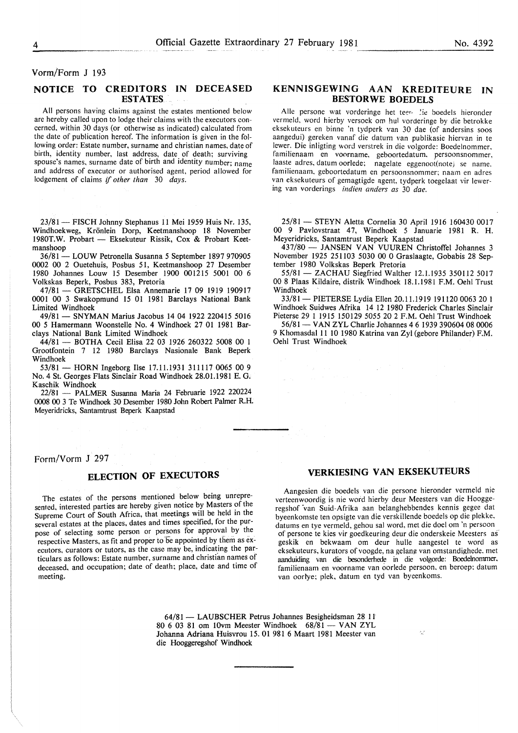## Vorm/Form J 193

## NOTICE TO CREDITORS IN DECEASED ESTATES

All persons having claims against the estates mentioned below are hereby called upon to lodge their claims with the executors concerned. within 30 days (or otherwise as indicated) calculated from the date of publication hereof. The information is given in the following order: Estate number, surname and christian names. date of birth, identity number, last address, date of death; surviving spouse's names, surname date of birth and identity number; name and address of executor or authorised agent. period allowed for lodgement of claims if *other than* 30 *days.* 

23/81 - FISCH Johnny Stephanus 11 Mei 1959 Huis Nr. 135, Windhoekweg, Krönlein Dorp, Keetmanshoop 18 November 1980T.W. Probart - Eksekuteur Rissik, Cox & Probart Keetmanshoop

36/81- LOUW Petronella Susanna *5* September 1897 970905 0002 00 2 Ouetehuis, Posbus 51, Keetmanshoop 27 Desember 1980 Johannes Louw 15 Desember 1900 001215 5001 00 6 Volkskas Beperk, Posbus 383, Pretoria

47/81 - GRETSCHEL Elsa Annemarie 17 09 1919 190917 0001 00 3 Swakopmund 15 01 1981 Barclays National Bank Limited Windhoek

49/81- SNYMAN Marius Jacobus 14 04 1922 220415 5016 00 *5* Hamermann Woonstelle No.4 Windhoek 27 01 1981 Barclays National Bank Limited Windhoek

44/81 - BOTHA Cecil Elisa 22 03 1926 260322 5008 00 1 Grootfontein 7 12 1980 Barclays Nasionale Bank Beperk Windhoek

53/81 - HORN Ingeborg Ilse 17.11.1931 311117 0065 00 9 No.4 St. Georges Flats Sinclair Road Windhoek 28.01.1981 E. G. Kaschik Windhoek

22/81 - PALMER Susanna Maria 24 Februarie 1922 220224 0008 00 3 Te Windhoek 30 Desember 1980 John Robert Palmer R.H. Meyeridricks, Santamtrust Beperk Kaapstad

Form/Vorm J 297

## ELECTION OF EXECUTORS

The estates of the persons mentioned below being unrepresented, interested parties are hereby given notice by Masters of the Supreme Court of South Africa, that meetings will be held in the several estates at the places, dates and times specified, for the purpose of selecting some person or persons for approval by the respective Masters, as fit and proper to be appointed by them as executors, curators or tutors, as the case may be, indicating the particulars as follows: Estate number, surname and christian names of deceased, and occupation; date of death; place, date and time of meeting.

KENNISGEWING AAN KREDITEURE IN BESTORWE BOEDELS

Alle persone wat vorderinge het teer. Lie boedels hieronder vermeld, word hierby versoek om hul vorderinge by die betrokke cksekuteurs en binne 'n tydperk van 30 dae (of andersins soos aangedui) gereken vanaf die datum van publikasie hiervan in te lewer. Die inligting word verstrek in die volgorde: Boedelnommer. familienaam en voorname, geboortedatum. persoonsnommer. laaste adres, datum oorlede; nagelate eggenoot(note) se name. familienaam, geboortedatum en persoonsnommer; naam en adres van cksekuteurs of gemagtigde agent. tydperk toegelaat vir lewering van vorderings *indien anders as* 30 *dae.* 

25/81 - STEYN Aletta Cornelia 30 April 1916 160430 0017 00 9 Pavlovstraat 47, Windhoek *5* Januarie 1981 R. H. Meyeridricks, Santamtrust Beperk Kaapstad

437/80 - JANSEN VAN VUUREN Christoffel Johannes 3 November 1925 251103 5030 00 0 Graslaagte, Gobabis 28 September 1980 Volkskas Beperk Pretoria

55/81 - ZACHAU Siegfried Walther 12.1.1935 350112 5017 00 8 Plaas Kildaire, distrik Windhoek 18.1.1981 F.M. Oehl Trust Windhoek

33/8 I- PIETERSE Lydia Ellen 20.11.1919 191120 0063 20 1 Windhoek Suidwes Afrika 14 12 1980 Frederick Charles Sinclair Pieterse 29 I I9I5 I50I29 5055 20 2 F.M. Oehl Trust Windhoek

56/81 - VAN ZYL Charlie Johannes 4 6 1939 390604 08 0006 9 Khomasdal 11 10 1980 Katrina van Zyl (gebore Philander) F.M. Oehl Trust Windhoek

## VERKIESING VAN EKSEKUTEURS

Aangesien die boedels van die persone hieronder vermeld nie verteenwoordig is nic word hierby deur Meesters van die Hooggeregshof van Suid-Afrika aan belanghebbendes kennis gegee dat byeenkomste ten opsigte van die verskillende boedels op die plekke. datums en tye vermeld, gehou sal word. met die doe! om 'n persoon of persone te kies vir goedkeuring deur die onderskeie Meesters as· geskik en bekwaam om deur hulle aangestel te word as eksekuteurs, kurators of voogde, na gelang van omstandighede. met aanduiding van die besonderhede in die volgorde: Boedelnommer. familienaam en voorname van oorlede persoon. en beroep; datum van oorlye; plek, datum en tyd van byeenkoms.

64/81- LAUBSCHER Petrus Johannes Besigheidsman 28 II 80 6 03 81 om 10vm Meester Windhoek 68/81 - VAN ZYL Johanna Adriana Huisvrou 15. 01 981 6 Maart 1981 Meester van die Hooggeregshof Windhoek

k.)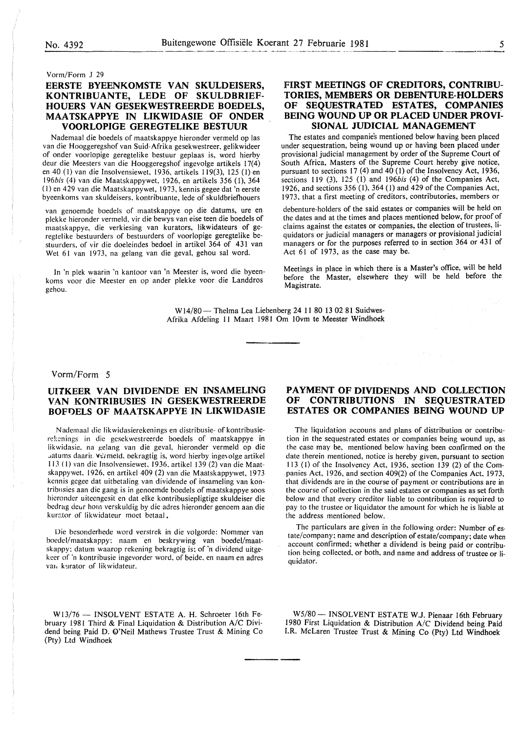Vorm/Form J 29

## **EERSTE BYEENKOMSTE VAN SKULDEISERS, KONTRIBUANTE, LEDE OF SKULDBRIEF-HOUERS VAN GESEKWESTREERDE BOEDELS, MAA TSKAPPYE IN LIKWIDASIE OF ONDER VOORLOPIGE GEREGTELIKE BESTUUR**

Nademaal die boedels of maatskappye hieronder vermeld op las van die Hooggeregshof van Suid-Afrika gesekwestreer, gelikwideer of onder voorlopige geregtelike bestuur geplaas is, word hierby deur die Meesters van die Hooggeregshof ingevolge artikels 17(4) en 40 (I) van die Insolvensiewet, 1936, artikels 119(3), 125 (l) en *196bis* ( 4) van die Maatskappywet, 1926, en artikels 356 (I), 364 (I) en 429 van die Maatskappywet, 1973, kennis gegee dat 'n eerste byeenkoms van skuldeisers, kontribuante, lede of skuldbriefhouers

van genoemde boedels of maatskappye op die datums, ure en plekke hieronder vermeld, vir die bewys van eise teen die boedels of maatskappye, die verkiesing van kurators, likwidateurs of geregtelike bestuurders of bestuurders of voorlopige geregtelike bestuurders, of vir die doeleindes bedoel in artikel 364 of 431 van Wet 61 van 1973, na gelang van die geval, gehou sal word.

In 'n plek waarin 'n kantoor van 'n Meester is, word die byeenkoms voor die Meester en op ander plekke voor die Landdros gehou.

## FIRST **MEETINGS OF CREDITORS, CONTRIBU-TORIES, MEMBERS OR DEBENTURE-HOLDERS OF SEQUESTRATED ESTATES, COMPANIES BEING WOUND UP OR PLACED UNDER PROVI-SIONAL JUDICIAL MANAGEMENT**

The estates and companies mentioned below having been placed under sequestration, being wound up or having been placed under provisional judicial management by order of the Supreme Court of South Africa, Masters of the Supreme Court hereby give notice, pursuant to sections 17 (4) and  $40(1)$  of the Insolvency Act, 1936, sections 119 (3), 125 (1) and 196*bis* (4) of the Companies Act, 1926, and sections 356 (I), 364 (I) and 429 of the Companies Act, 1973, that a first meeting of creditors, contributories, members or

debenture-holders of the said estates or companies will be held on the dates and at the times and places mentioned below, for proof of claims against the estates or companies, the election of trustees, liquidators or judicial managers or managers or provisional judicial managers or for the purposes referred to in section 364 or 431 of Act 61 of 1973, as the case may be.

Meetings in place in which there is a Master's office, will be held before the Master, elsewhere they will be held before the Magistrate.

W14/80- Thelma Lea Liebenberg 24 11 80 13 02 81 Suidwes-Afrika Afdeling 11 Maart 1981 Om 10vm te Meester Windhoek

## Vorm/Form 5

## **UITKEER VAN DIVIDENDE EN INSAMELING VAN KONTRIBUSIES IN GESEKWESTREERDE BOFDELS OF MAATSKAPPYE IN LIKWIDASIE**

Nademaal die likwidasierekenings en distribusie- of kontribusierekenings in die gesekwestreerde boedels of maatskappye in iikwidasic, na gelang van die geval, hieronder vermeld op die . atums daarii. V€rmeld, bekragtig is, word hierby ingevolge artikel 113 ( 1) van die Insolvensiewet, 1936. art ike! 139 (2) van die Maatskappywet. 1926, en artikel 409 (2) van die Maatskappywet, 1973 kennis gcgee dat uitbctaling van dividende of insameling van kontribnsies aan die gang is in genoemde boedels of maatskappye soos hicronder uitccngcsit en dat elke kontribusiepligtige skuldeiser die bcdrag dcur horn verskuldig by die adres hieronder genoem aan die kurator of likwidateur moet betaal.

Die bcsonderhedc word verstrek in die volgorde: Nommer van bocdel/maatskappy: naam en beskrywing van boedel/maatskappy: datum waarop rekcning bekragtig is: of 'n dividend uitgekeer of 'n kontribusie ingevorder word, of beide, en naam en adres van kurator of likwidateur.

W13/76 - INSOLVENT ESTATE A. H. Schroeter 16th February 1981 Third & Final Liquidation & Distribution A/C Dividend being Paid D. Q'Neil Mathews Trustee Trust & Mining Co (Pty) Ltd Windhoek

## **PAYMENT OF DIVIDENDS AND COLLECTION OF CONTRIBUTIONS IN SEQUESTRATED ESTATES OR COMPANIES BEING WOUND UP**

The liquidation accouns and plans of distribution or contribution in the sequestrated estates or companies being wound up, as the case may be, mentioned below having been confirmed on the date therein mentioned, notice is hereby given, pursuant to section 113 (I) of the Insolvency Act, 1936, section 139 (2) of the Companies Act, 1926, and section 409(2) of the Companies Act, 1973, that dividends are in the course of payment or contributions are in the course of collection in the said estates or companies as set forth below and that every creditor liable to contribution is required to pay to the trustee or liquidator the amount for which he is liable at the address mentioned below.

The particulars are given in the following order: Number of es· tate/company; name and description of estate/company; date when account confirmed; whether a dividend is being paid or contribution being collected, or both, and name and address of trustee or liquidator.

W5/80 - INSOLVENT ESTATE W.J. Pienaar 16th February 1980 First Liquidation & Distribution A/C Dividend being Paid I.R. McLaren Trustee Trust & Mining Co (Pty) Ltd Windhoek